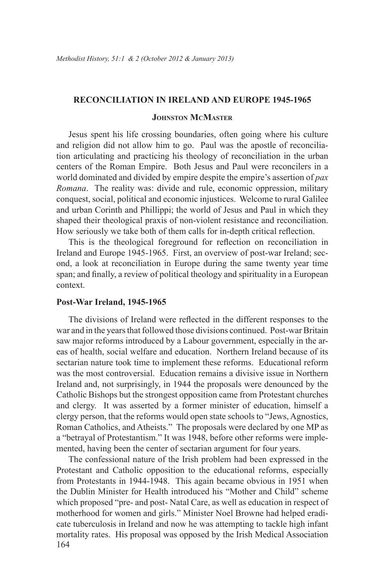## **Reconciliation in Ireland and Europe 1945-1965**

# **Johnston McMaster**

Jesus spent his life crossing boundaries, often going where his culture and religion did not allow him to go. Paul was the apostle of reconciliation articulating and practicing his theology of reconciliation in the urban centers of the Roman Empire. Both Jesus and Paul were reconcilers in a world dominated and divided by empire despite the empire's assertion of *pax Romana*. The reality was: divide and rule, economic oppression, military conquest, social, political and economic injustices. Welcome to rural Galilee and urban Corinth and Phillippi; the world of Jesus and Paul in which they shaped their theological praxis of non-violent resistance and reconciliation. How seriously we take both of them calls for in-depth critical reflection.

This is the theological foreground for reflection on reconciliation in Ireland and Europe 1945-1965. First, an overview of post-war Ireland; second, a look at reconciliation in Europe during the same twenty year time span; and finally, a review of political theology and spirituality in a European context.

### **Post-War Ireland, 1945-1965**

The divisions of Ireland were reflected in the different responses to the war and in the years that followed those divisions continued. Post-war Britain saw major reforms introduced by a Labour government, especially in the areas of health, social welfare and education. Northern Ireland because of its sectarian nature took time to implement these reforms. Educational reform was the most controversial. Education remains a divisive issue in Northern Ireland and, not surprisingly, in 1944 the proposals were denounced by the Catholic Bishops but the strongest opposition came from Protestant churches and clergy. It was asserted by a former minister of education, himself a clergy person, that the reforms would open state schools to "Jews, Agnostics, Roman Catholics, and Atheists." The proposals were declared by one MP as a "betrayal of Protestantism." It was 1948, before other reforms were implemented, having been the center of sectarian argument for four years.

164 The confessional nature of the Irish problem had been expressed in the Protestant and Catholic opposition to the educational reforms, especially from Protestants in 1944-1948. This again became obvious in 1951 when the Dublin Minister for Health introduced his "Mother and Child" scheme which proposed "pre- and post- Natal Care, as well as education in respect of motherhood for women and girls." Minister Noel Browne had helped eradicate tuberculosis in Ireland and now he was attempting to tackle high infant mortality rates. His proposal was opposed by the Irish Medical Association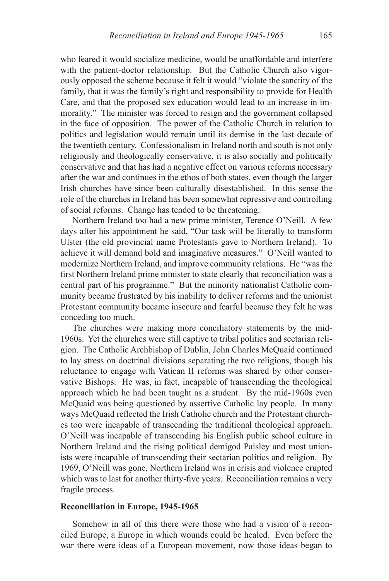who feared it would socialize medicine, would be unaffordable and interfere with the patient-doctor relationship. But the Catholic Church also vigorously opposed the scheme because it felt it would "violate the sanctity of the family, that it was the family's right and responsibility to provide for Health Care, and that the proposed sex education would lead to an increase in immorality." The minister was forced to resign and the government collapsed in the face of opposition. The power of the Catholic Church in relation to politics and legislation would remain until its demise in the last decade of the twentieth century. Confessionalism in Ireland north and south is not only religiously and theologically conservative, it is also socially and politically conservative and that has had a negative effect on various reforms necessary after the war and continues in the ethos of both states, even though the larger Irish churches have since been culturally disestablished. In this sense the role of the churches in Ireland has been somewhat repressive and controlling of social reforms. Change has tended to be threatening.

Northern Ireland too had a new prime minister, Terence O'Neill. A few days after his appointment he said, "Our task will be literally to transform Ulster (the old provincial name Protestants gave to Northern Ireland). To achieve it will demand bold and imaginative measures." O'Neill wanted to modernize Northern Ireland, and improve community relations. He "was the first Northern Ireland prime minister to state clearly that reconciliation was a central part of his programme." But the minority nationalist Catholic community became frustrated by his inability to deliver reforms and the unionist Protestant community became insecure and fearful because they felt he was conceding too much.

The churches were making more conciliatory statements by the mid-1960s. Yet the churches were still captive to tribal politics and sectarian religion. The Catholic Archbishop of Dublin, John Charles McQuaid continued to lay stress on doctrinal divisions separating the two religions, though his reluctance to engage with Vatican II reforms was shared by other conservative Bishops. He was, in fact, incapable of transcending the theological approach which he had been taught as a student. By the mid-1960s even McQuaid was being questioned by assertive Catholic lay people. In many ways McQuaid reflected the Irish Catholic church and the Protestant churches too were incapable of transcending the traditional theological approach. O'Neill was incapable of transcending his English public school culture in Northern Ireland and the rising political demigod Paisley and most unionists were incapable of transcending their sectarian politics and religion. By 1969, O'Neill was gone, Northern Ireland was in crisis and violence erupted which was to last for another thirty-five years. Reconciliation remains a very fragile process.

# **Reconciliation in Europe, 1945-1965**

Somehow in all of this there were those who had a vision of a reconciled Europe, a Europe in which wounds could be healed. Even before the war there were ideas of a European movement, now those ideas began to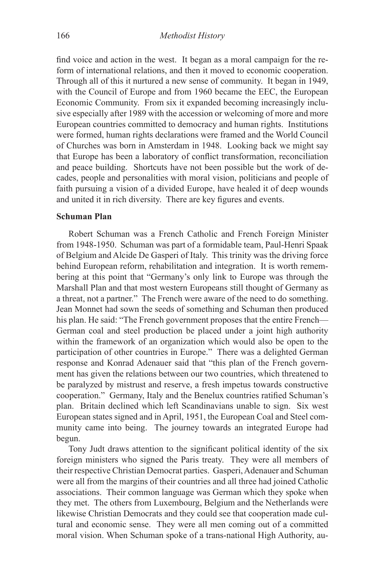find voice and action in the west. It began as a moral campaign for the reform of international relations, and then it moved to economic cooperation. Through all of this it nurtured a new sense of community. It began in 1949, with the Council of Europe and from 1960 became the EEC, the European Economic Community. From six it expanded becoming increasingly inclusive especially after 1989 with the accession or welcoming of more and more European countries committed to democracy and human rights. Institutions were formed, human rights declarations were framed and the World Council of Churches was born in Amsterdam in 1948. Looking back we might say that Europe has been a laboratory of conflict transformation, reconciliation and peace building. Shortcuts have not been possible but the work of decades, people and personalities with moral vision, politicians and people of faith pursuing a vision of a divided Europe, have healed it of deep wounds and united it in rich diversity. There are key figures and events.

#### **Schuman Plan**

Robert Schuman was a French Catholic and French Foreign Minister from 1948-1950. Schuman was part of a formidable team, Paul-Henri Spaak of Belgium and Alcide De Gasperi of Italy. This trinity was the driving force behind European reform, rehabilitation and integration. It is worth remembering at this point that "Germany's only link to Europe was through the Marshall Plan and that most western Europeans still thought of Germany as a threat, not a partner." The French were aware of the need to do something. Jean Monnet had sown the seeds of something and Schuman then produced his plan. He said: "The French government proposes that the entire French— German coal and steel production be placed under a joint high authority within the framework of an organization which would also be open to the participation of other countries in Europe." There was a delighted German response and Konrad Adenauer said that "this plan of the French government has given the relations between our two countries, which threatened to be paralyzed by mistrust and reserve, a fresh impetus towards constructive cooperation." Germany, Italy and the Benelux countries ratified Schuman's plan. Britain declined which left Scandinavians unable to sign. Six west European states signed and in April, 1951, the European Coal and Steel community came into being. The journey towards an integrated Europe had begun.

Tony Judt draws attention to the significant political identity of the six foreign ministers who signed the Paris treaty. They were all members of their respective Christian Democrat parties. Gasperi, Adenauer and Schuman were all from the margins of their countries and all three had joined Catholic associations. Their common language was German which they spoke when they met. The others from Luxembourg, Belgium and the Netherlands were likewise Christian Democrats and they could see that cooperation made cultural and economic sense. They were all men coming out of a committed moral vision. When Schuman spoke of a trans-national High Authority, au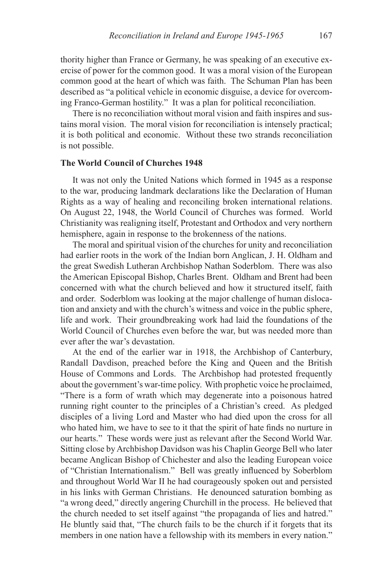thority higher than France or Germany, he was speaking of an executive exercise of power for the common good. It was a moral vision of the European common good at the heart of which was faith. The Schuman Plan has been described as "a political vehicle in economic disguise, a device for overcoming Franco-German hostility." It was a plan for political reconciliation.

There is no reconciliation without moral vision and faith inspires and sustains moral vision. The moral vision for reconciliation is intensely practical; it is both political and economic. Without these two strands reconciliation is not possible.

# **The World Council of Churches 1948**

It was not only the United Nations which formed in 1945 as a response to the war, producing landmark declarations like the Declaration of Human Rights as a way of healing and reconciling broken international relations. On August 22, 1948, the World Council of Churches was formed. World Christianity was realigning itself, Protestant and Orthodox and very northern hemisphere, again in response to the brokenness of the nations.

The moral and spiritual vision of the churches for unity and reconciliation had earlier roots in the work of the Indian born Anglican, J. H. Oldham and the great Swedish Lutheran Archbishop Nathan Soderblom. There was also the American Episcopal Bishop, Charles Brent. Oldham and Brent had been concerned with what the church believed and how it structured itself, faith and order. Soderblom was looking at the major challenge of human dislocation and anxiety and with the church's witness and voice in the public sphere, life and work. Their groundbreaking work had laid the foundations of the World Council of Churches even before the war, but was needed more than ever after the war's devastation.

At the end of the earlier war in 1918, the Archbishop of Canterbury, Randall Davdison, preached before the King and Queen and the British House of Commons and Lords. The Archbishop had protested frequently about the government's war-time policy. With prophetic voice he proclaimed, "There is a form of wrath which may degenerate into a poisonous hatred running right counter to the principles of a Christian's creed. As pledged disciples of a living Lord and Master who had died upon the cross for all who hated him, we have to see to it that the spirit of hate finds no nurture in our hearts." These words were just as relevant after the Second World War. Sitting close by Archbishop Davidson was his Chaplin George Bell who later became Anglican Bishop of Chichester and also the leading European voice of "Christian Internationalism." Bell was greatly influenced by Soberblom and throughout World War II he had courageously spoken out and persisted in his links with German Christians. He denounced saturation bombing as "a wrong deed," directly angering Churchill in the process. He believed that the church needed to set itself against "the propaganda of lies and hatred." He bluntly said that, "The church fails to be the church if it forgets that its members in one nation have a fellowship with its members in every nation."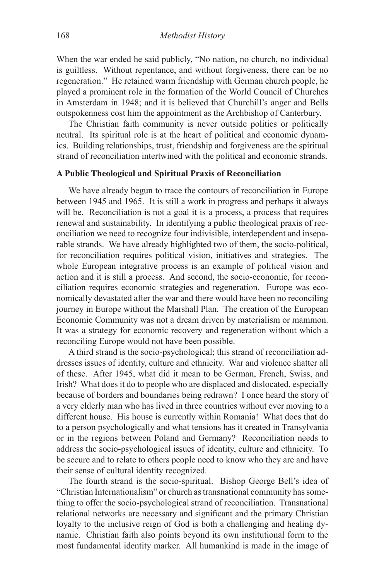When the war ended he said publicly, "No nation, no church, no individual is guiltless. Without repentance, and without forgiveness, there can be no regeneration." He retained warm friendship with German church people, he played a prominent role in the formation of the World Council of Churches in Amsterdam in 1948; and it is believed that Churchill's anger and Bells outspokenness cost him the appointment as the Archbishop of Canterbury.

The Christian faith community is never outside politics or politically neutral. Its spiritual role is at the heart of political and economic dynamics. Building relationships, trust, friendship and forgiveness are the spiritual strand of reconciliation intertwined with the political and economic strands.

# **A Public Theological and Spiritual Praxis of Reconciliation**

We have already begun to trace the contours of reconciliation in Europe between 1945 and 1965. It is still a work in progress and perhaps it always will be. Reconciliation is not a goal it is a process, a process that requires renewal and sustainability. In identifying a public theological praxis of reconciliation we need to recognize four indivisible, interdependent and inseparable strands. We have already highlighted two of them, the socio-political, for reconciliation requires political vision, initiatives and strategies. The whole European integrative process is an example of political vision and action and it is still a process. And second, the socio-economic, for reconciliation requires economic strategies and regeneration. Europe was economically devastated after the war and there would have been no reconciling journey in Europe without the Marshall Plan. The creation of the European Economic Community was not a dream driven by materialism or mammon. It was a strategy for economic recovery and regeneration without which a reconciling Europe would not have been possible.

A third strand is the socio-psychological; this strand of reconciliation addresses issues of identity, culture and ethnicity. War and violence shatter all of these. After 1945, what did it mean to be German, French, Swiss, and Irish? What does it do to people who are displaced and dislocated, especially because of borders and boundaries being redrawn? I once heard the story of a very elderly man who has lived in three countries without ever moving to a different house. His house is currently within Romania! What does that do to a person psychologically and what tensions has it created in Transylvania or in the regions between Poland and Germany? Reconciliation needs to address the socio-psychological issues of identity, culture and ethnicity. To be secure and to relate to others people need to know who they are and have their sense of cultural identity recognized.

The fourth strand is the socio-spiritual. Bishop George Bell's idea of "Christian Internationalism" or church as transnational community has something to offer the socio-psychological strand of reconciliation. Transnational relational networks are necessary and significant and the primary Christian loyalty to the inclusive reign of God is both a challenging and healing dynamic. Christian faith also points beyond its own institutional form to the most fundamental identity marker. All humankind is made in the image of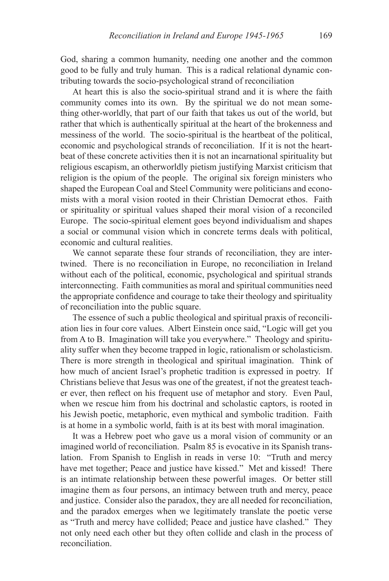God, sharing a common humanity, needing one another and the common good to be fully and truly human. This is a radical relational dynamic contributing towards the socio-psychological strand of reconciliation

At heart this is also the socio-spiritual strand and it is where the faith community comes into its own. By the spiritual we do not mean something other-worldly, that part of our faith that takes us out of the world, but rather that which is authentically spiritual at the heart of the brokenness and messiness of the world. The socio-spiritual is the heartbeat of the political, economic and psychological strands of reconciliation. If it is not the heartbeat of these concrete activities then it is not an incarnational spirituality but religious escapism, an otherworldly pietism justifying Marxist criticism that religion is the opium of the people. The original six foreign ministers who shaped the European Coal and Steel Community were politicians and economists with a moral vision rooted in their Christian Democrat ethos. Faith or spirituality or spiritual values shaped their moral vision of a reconciled Europe. The socio-spiritual element goes beyond individualism and shapes a social or communal vision which in concrete terms deals with political, economic and cultural realities.

We cannot separate these four strands of reconciliation, they are intertwined. There is no reconciliation in Europe, no reconciliation in Ireland without each of the political, economic, psychological and spiritual strands interconnecting. Faith communities as moral and spiritual communities need the appropriate confidence and courage to take their theology and spirituality of reconciliation into the public square.

The essence of such a public theological and spiritual praxis of reconciliation lies in four core values. Albert Einstein once said, "Logic will get you from A to B. Imagination will take you everywhere." Theology and spirituality suffer when they become trapped in logic, rationalism or scholasticism. There is more strength in theological and spiritual imagination. Think of how much of ancient Israel's prophetic tradition is expressed in poetry. If Christians believe that Jesus was one of the greatest, if not the greatest teacher ever, then reflect on his frequent use of metaphor and story. Even Paul, when we rescue him from his doctrinal and scholastic captors, is rooted in his Jewish poetic, metaphoric, even mythical and symbolic tradition. Faith is at home in a symbolic world, faith is at its best with moral imagination.

It was a Hebrew poet who gave us a moral vision of community or an imagined world of reconciliation. Psalm 85 is evocative in its Spanish translation. From Spanish to English in reads in verse 10: "Truth and mercy have met together; Peace and justice have kissed." Met and kissed! There is an intimate relationship between these powerful images. Or better still imagine them as four persons, an intimacy between truth and mercy, peace and justice. Consider also the paradox, they are all needed for reconciliation, and the paradox emerges when we legitimately translate the poetic verse as "Truth and mercy have collided; Peace and justice have clashed." They not only need each other but they often collide and clash in the process of reconciliation.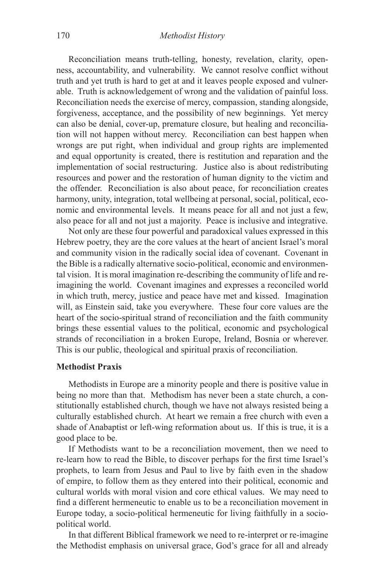Reconciliation means truth-telling, honesty, revelation, clarity, openness, accountability, and vulnerability. We cannot resolve conflict without truth and yet truth is hard to get at and it leaves people exposed and vulnerable. Truth is acknowledgement of wrong and the validation of painful loss. Reconciliation needs the exercise of mercy, compassion, standing alongside, forgiveness, acceptance, and the possibility of new beginnings. Yet mercy can also be denial, cover-up, premature closure, but healing and reconciliation will not happen without mercy. Reconciliation can best happen when wrongs are put right, when individual and group rights are implemented and equal opportunity is created, there is restitution and reparation and the implementation of social restructuring. Justice also is about redistributing resources and power and the restoration of human dignity to the victim and the offender. Reconciliation is also about peace, for reconciliation creates harmony, unity, integration, total wellbeing at personal, social, political, economic and environmental levels. It means peace for all and not just a few, also peace for all and not just a majority. Peace is inclusive and integrative.

Not only are these four powerful and paradoxical values expressed in this Hebrew poetry, they are the core values at the heart of ancient Israel's moral and community vision in the radically social idea of covenant. Covenant in the Bible is a radically alternative socio-political, economic and environmental vision. It is moral imagination re-describing the community of life and reimagining the world. Covenant imagines and expresses a reconciled world in which truth, mercy, justice and peace have met and kissed. Imagination will, as Einstein said, take you everywhere. These four core values are the heart of the socio-spiritual strand of reconciliation and the faith community brings these essential values to the political, economic and psychological strands of reconciliation in a broken Europe, Ireland, Bosnia or wherever. This is our public, theological and spiritual praxis of reconciliation.

## **Methodist Praxis**

Methodists in Europe are a minority people and there is positive value in being no more than that. Methodism has never been a state church, a constitutionally established church, though we have not always resisted being a culturally established church. At heart we remain a free church with even a shade of Anabaptist or left-wing reformation about us. If this is true, it is a good place to be.

If Methodists want to be a reconciliation movement, then we need to re-learn how to read the Bible, to discover perhaps for the first time Israel's prophets, to learn from Jesus and Paul to live by faith even in the shadow of empire, to follow them as they entered into their political, economic and cultural worlds with moral vision and core ethical values. We may need to find a different hermeneutic to enable us to be a reconciliation movement in Europe today, a socio-political hermeneutic for living faithfully in a sociopolitical world.

In that different Biblical framework we need to re-interpret or re-imagine the Methodist emphasis on universal grace, God's grace for all and already